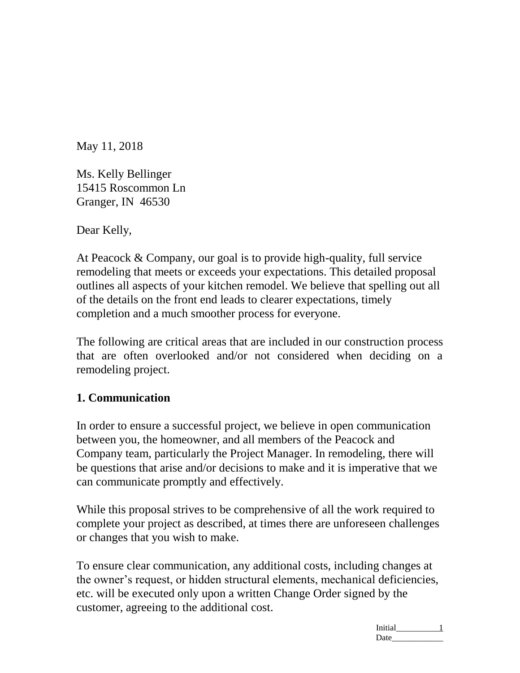May 11, 2018

Ms. Kelly Bellinger 15415 Roscommon Ln Granger, IN 46530

Dear Kelly,

At Peacock & Company, our goal is to provide high-quality, full service remodeling that meets or exceeds your expectations. This detailed proposal outlines all aspects of your kitchen remodel. We believe that spelling out all of the details on the front end leads to clearer expectations, timely completion and a much smoother process for everyone.

The following are critical areas that are included in our construction process that are often overlooked and/or not considered when deciding on a remodeling project.

# **1. Communication**

In order to ensure a successful project, we believe in open communication between you, the homeowner, and all members of the Peacock and Company team, particularly the Project Manager. In remodeling, there will be questions that arise and/or decisions to make and it is imperative that we can communicate promptly and effectively.

While this proposal strives to be comprehensive of all the work required to complete your project as described, at times there are unforeseen challenges or changes that you wish to make.

To ensure clear communication, any additional costs, including changes at the owner's request, or hidden structural elements, mechanical deficiencies, etc. will be executed only upon a written Change Order signed by the customer, agreeing to the additional cost.

> Initial\_\_\_\_\_\_\_\_\_\_\_ 1 Date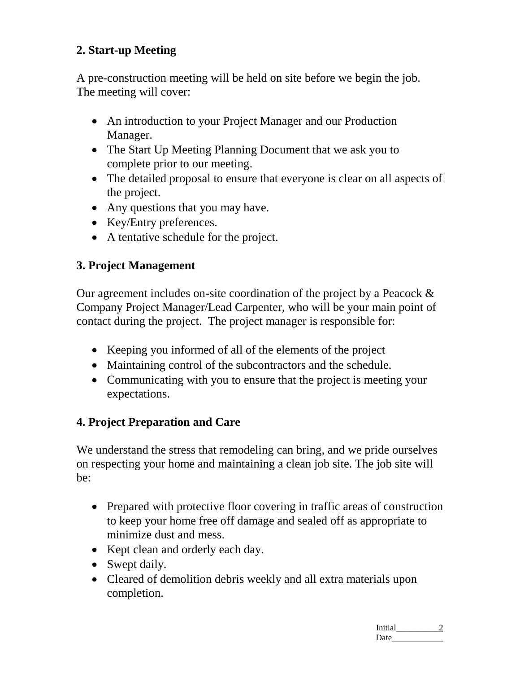# **2. Start-up Meeting**

A pre-construction meeting will be held on site before we begin the job. The meeting will cover:

- An introduction to your Project Manager and our Production Manager.
- The Start Up Meeting Planning Document that we ask you to complete prior to our meeting.
- The detailed proposal to ensure that everyone is clear on all aspects of the project.
- Any questions that you may have.
- Key/Entry preferences.
- A tentative schedule for the project.

# **3. Project Management**

Our agreement includes on-site coordination of the project by a Peacock & Company Project Manager/Lead Carpenter, who will be your main point of contact during the project. The project manager is responsible for:

- Keeping you informed of all of the elements of the project
- Maintaining control of the subcontractors and the schedule.
- Communicating with you to ensure that the project is meeting your expectations.

# **4. Project Preparation and Care**

We understand the stress that remodeling can bring, and we pride ourselves on respecting your home and maintaining a clean job site. The job site will be:

- Prepared with protective floor covering in traffic areas of construction to keep your home free off damage and sealed off as appropriate to minimize dust and mess.
- Kept clean and orderly each day.
- Swept daily.
- Cleared of demolition debris weekly and all extra materials upon completion.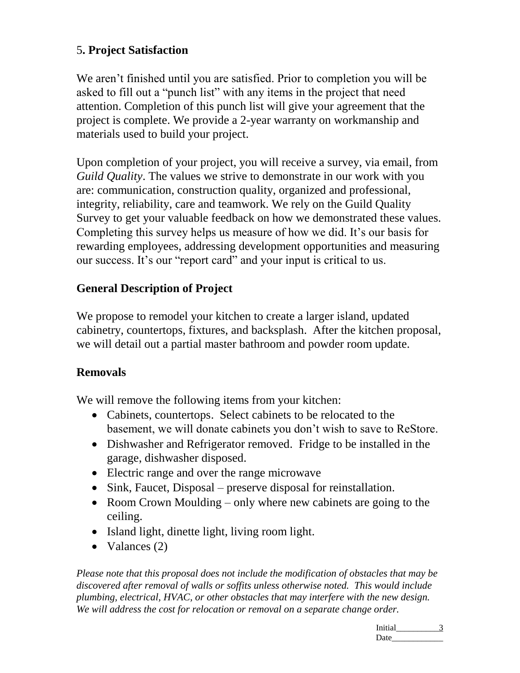# 5**. Project Satisfaction**

We aren't finished until you are satisfied. Prior to completion you will be asked to fill out a "punch list" with any items in the project that need attention. Completion of this punch list will give your agreement that the project is complete. We provide a 2-year warranty on workmanship and materials used to build your project.

Upon completion of your project, you will receive a survey, via email, from *Guild Quality*. The values we strive to demonstrate in our work with you are: communication, construction quality, organized and professional, integrity, reliability, care and teamwork. We rely on the Guild Quality Survey to get your valuable feedback on how we demonstrated these values. Completing this survey helps us measure of how we did. It's our basis for rewarding employees, addressing development opportunities and measuring our success. It's our "report card" and your input is critical to us.

### **General Description of Project**

We propose to remodel your kitchen to create a larger island, updated cabinetry, countertops, fixtures, and backsplash. After the kitchen proposal, we will detail out a partial master bathroom and powder room update.

### **Removals**

We will remove the following items from your kitchen:

- Cabinets, countertops. Select cabinets to be relocated to the basement, we will donate cabinets you don't wish to save to ReStore.
- Dishwasher and Refrigerator removed. Fridge to be installed in the garage, dishwasher disposed.
- Electric range and over the range microwave
- Sink, Faucet, Disposal preserve disposal for reinstallation.
- Room Crown Moulding only where new cabinets are going to the ceiling.
- Island light, dinette light, living room light.
- Valances  $(2)$

*Please note that this proposal does not include the modification of obstacles that may be discovered after removal of walls or soffits unless otherwise noted. This would include plumbing, electrical, HVAC, or other obstacles that may interfere with the new design. We will address the cost for relocation or removal on a separate change order.*

> Initial\_\_\_\_\_\_\_\_\_\_\_ 3 Date\_\_\_\_\_\_\_\_\_\_\_\_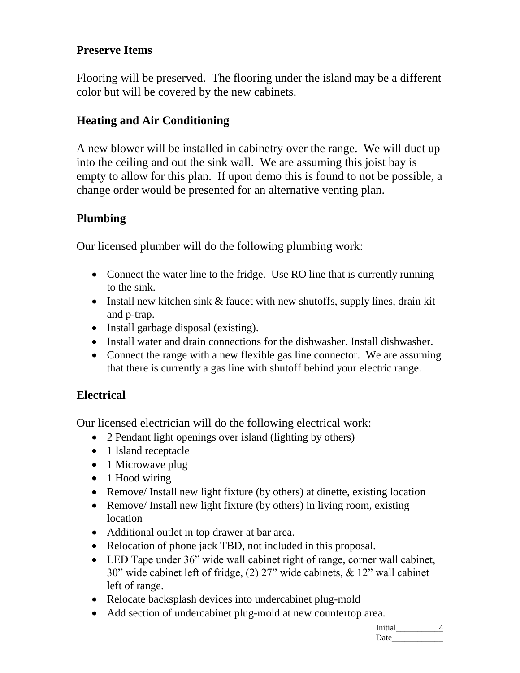# **Preserve Items**

Flooring will be preserved. The flooring under the island may be a different color but will be covered by the new cabinets.

### **Heating and Air Conditioning**

A new blower will be installed in cabinetry over the range. We will duct up into the ceiling and out the sink wall. We are assuming this joist bay is empty to allow for this plan. If upon demo this is found to not be possible, a change order would be presented for an alternative venting plan.

### **Plumbing**

Our licensed plumber will do the following plumbing work:

- Connect the water line to the fridge. Use RO line that is currently running to the sink.
- Install new kitchen sink & faucet with new shutoffs, supply lines, drain kit and p-trap.
- Install garbage disposal (existing).
- Install water and drain connections for the dishwasher. Install dishwasher.
- Connect the range with a new flexible gas line connector. We are assuming that there is currently a gas line with shutoff behind your electric range.

### **Electrical**

Our licensed electrician will do the following electrical work:

- 2 Pendant light openings over island (lighting by others)
- 1 Island receptacle
- 1 Microwave plug
- 1 Hood wiring
- Remove/ Install new light fixture (by others) at dinette, existing location
- Remove/ Install new light fixture (by others) in living room, existing location
- Additional outlet in top drawer at bar area.
- Relocation of phone jack TBD, not included in this proposal.
- LED Tape under 36" wide wall cabinet right of range, corner wall cabinet, 30" wide cabinet left of fridge, (2) 27" wide cabinets, & 12" wall cabinet left of range.
- Relocate backsplash devices into undercabinet plug-mold
- Add section of undercabinet plug-mold at new countertop area.

Initial\_\_\_\_\_\_\_\_\_\_\_ 4  $Date$   $\qquad \qquad$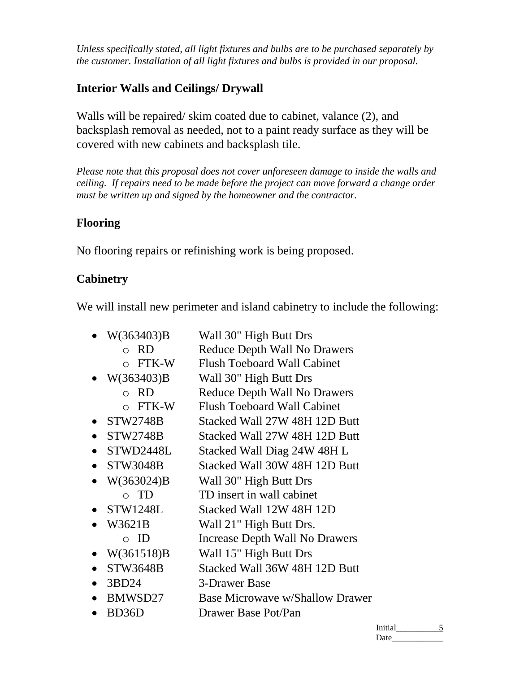*Unless specifically stated, all light fixtures and bulbs are to be purchased separately by the customer. Installation of all light fixtures and bulbs is provided in our proposal.* 

# **Interior Walls and Ceilings/ Drywall**

Walls will be repaired/ skim coated due to cabinet, valance (2), and backsplash removal as needed, not to a paint ready surface as they will be covered with new cabinets and backsplash tile.

*Please note that this proposal does not cover unforeseen damage to inside the walls and ceiling. If repairs need to be made before the project can move forward a change order must be written up and signed by the homeowner and the contractor.* 

### **Flooring**

No flooring repairs or refinishing work is being proposed.

# **Cabinetry**

We will install new perimeter and island cabinetry to include the following:

| W(363403)B      | Wall 30" High Butt Drs                 |
|-----------------|----------------------------------------|
| o RD            | <b>Reduce Depth Wall No Drawers</b>    |
| $\circ$ FTK-W   | <b>Flush Toeboard Wall Cabinet</b>     |
| W(363403)B      | Wall 30" High Butt Drs                 |
| $\circ$ RD      | <b>Reduce Depth Wall No Drawers</b>    |
| $\circ$ FTK-W   | <b>Flush Toeboard Wall Cabinet</b>     |
| <b>STW2748B</b> | Stacked Wall 27W 48H 12D Butt          |
| <b>STW2748B</b> | Stacked Wall 27W 48H 12D Butt          |
| STWD2448L       | Stacked Wall Diag 24W 48H L            |
| <b>STW3048B</b> | Stacked Wall 30W 48H 12D Butt          |
| W(363024)B      | Wall 30" High Butt Drs                 |
| $\circ$ TD      | TD insert in wall cabinet              |
| <b>STW1248L</b> | Stacked Wall 12W 48H 12D               |
| W3621B          | Wall 21" High Butt Drs.                |
| $\circ$ ID      | Increase Depth Wall No Drawers         |
| W(361518)B      | Wall 15" High Butt Drs                 |
| <b>STW3648B</b> | Stacked Wall 36W 48H 12D Butt          |
| 3BD24           | 3-Drawer Base                          |
| BMWSD27         | <b>Base Microwave w/Shallow Drawer</b> |
| BD36D           | Drawer Base Pot/Pan                    |
|                 |                                        |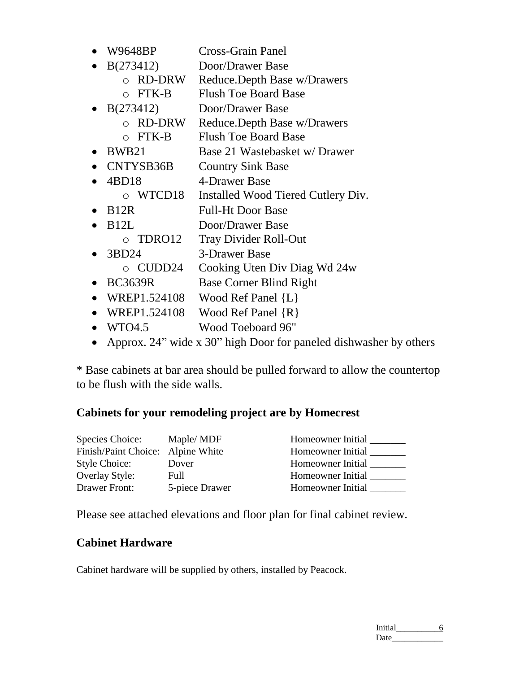- W9648BP Cross-Grain Panel
- B(273412) Door/Drawer Base
	- o RD-DRW Reduce.Depth Base w/Drawers
	- o FTK-B Flush Toe Board Base
- B(273412) Door/Drawer Base
	- o RD-DRW Reduce.Depth Base w/Drawers
	- o FTK-B Flush Toe Board Base
- BWB21 Base 21 Wastebasket w/Drawer
- CNTYSB36B Country Sink Base
- 4BD18 4-Drawer Base
	- o WTCD18 Installed Wood Tiered Cutlery Div.
- B12R Full-Ht Door Base
- B12L Door/Drawer Base
	- o TDRO12 Tray Divider Roll-Out
- 3BD24 3-Drawer Base
	- o CUDD24 Cooking Uten Div Diag Wd 24w
- BC3639R Base Corner Blind Right
- WREP1.524108 Wood Ref Panel {L}
- WREP1.524108 Wood Ref Panel  $\{R\}$
- WTO4.5 Wood Toeboard 96"
- Approx. 24" wide x 30" high Door for paneled dishwasher by others

\* Base cabinets at bar area should be pulled forward to allow the countertop to be flush with the side walls.

### **Cabinets for your remodeling project are by Homecrest**

| Species Choice:                   | Maple/MDF      | Homeowner Initial |
|-----------------------------------|----------------|-------------------|
| Finish/Paint Choice: Alpine White |                | Homeowner Initial |
| <b>Style Choice:</b>              | Dover          | Homeowner Initial |
| <b>Overlay Style:</b>             | Full           | Homeowner Initial |
| Drawer Front:                     | 5-piece Drawer | Homeowner Initial |

Please see attached elevations and floor plan for final cabinet review.

### **Cabinet Hardware**

Cabinet hardware will be supplied by others, installed by Peacock.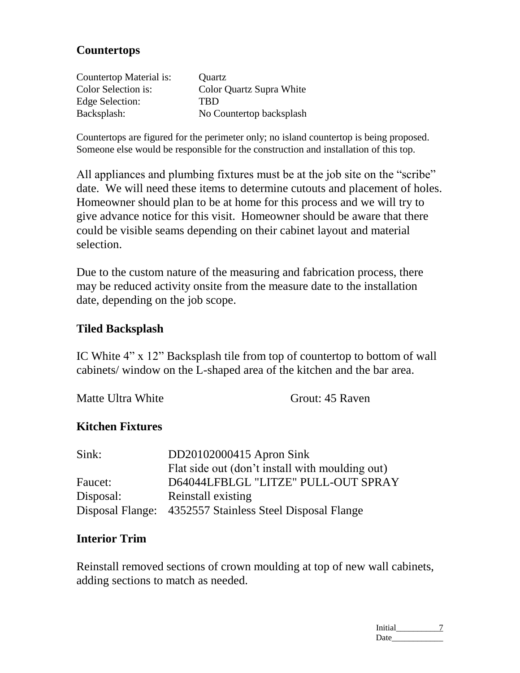### **Countertops**

| Countertop Material is: | Quartz                   |
|-------------------------|--------------------------|
| Color Selection is:     | Color Quartz Supra White |
| Edge Selection:         | <b>TRD</b>               |
| Backsplash:             | No Countertop backsplash |

Countertops are figured for the perimeter only; no island countertop is being proposed. Someone else would be responsible for the construction and installation of this top.

All appliances and plumbing fixtures must be at the job site on the "scribe" date. We will need these items to determine cutouts and placement of holes. Homeowner should plan to be at home for this process and we will try to give advance notice for this visit. Homeowner should be aware that there could be visible seams depending on their cabinet layout and material selection.

Due to the custom nature of the measuring and fabrication process, there may be reduced activity onsite from the measure date to the installation date, depending on the job scope.

#### **Tiled Backsplash**

IC White 4" x 12" Backsplash tile from top of countertop to bottom of wall cabinets/ window on the L-shaped area of the kitchen and the bar area.

Matte Ultra White Grout: 45 Raven

#### **Kitchen Fixtures**

| Sink:     | DD20102000415 Apron Sink                                 |
|-----------|----------------------------------------------------------|
|           | Flat side out (don't install with moulding out)          |
| Faucet:   | D64044LFBLGL "LITZE" PULL-OUT SPRAY                      |
| Disposal: | Reinstall existing                                       |
|           | Disposal Flange: 4352557 Stainless Steel Disposal Flange |

#### **Interior Trim**

Reinstall removed sections of crown moulding at top of new wall cabinets, adding sections to match as needed.

> Initial\_\_\_\_\_\_\_\_\_\_\_ 7 Date\_\_\_\_\_\_\_\_\_\_\_\_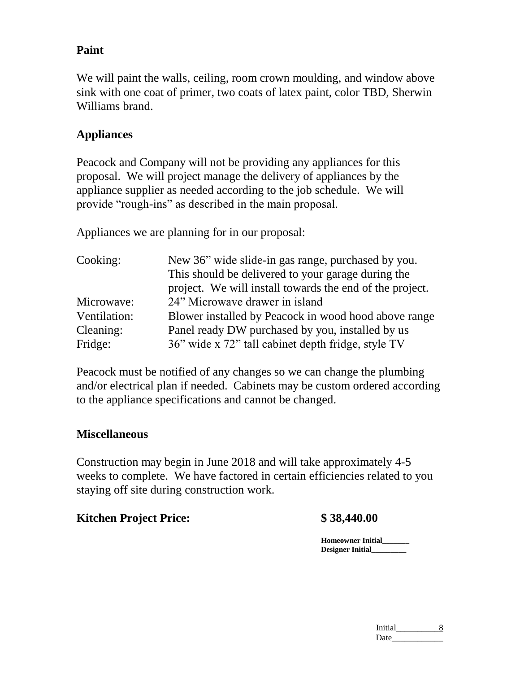### **Paint**

We will paint the walls, ceiling, room crown moulding, and window above sink with one coat of primer, two coats of latex paint, color TBD, Sherwin Williams brand.

### **Appliances**

Peacock and Company will not be providing any appliances for this proposal. We will project manage the delivery of appliances by the appliance supplier as needed according to the job schedule. We will provide "rough-ins" as described in the main proposal.

Appliances we are planning for in our proposal:

| Cooking:     | New 36" wide slide-in gas range, purchased by you.       |  |
|--------------|----------------------------------------------------------|--|
|              | This should be delivered to your garage during the       |  |
|              | project. We will install towards the end of the project. |  |
| Microwave:   | 24" Microwave drawer in island                           |  |
| Ventilation: | Blower installed by Peacock in wood hood above range     |  |
| Cleaning:    | Panel ready DW purchased by you, installed by us         |  |
| Fridge:      | 36" wide x 72" tall cabinet depth fridge, style TV       |  |

Peacock must be notified of any changes so we can change the plumbing and/or electrical plan if needed. Cabinets may be custom ordered according to the appliance specifications and cannot be changed.

### **Miscellaneous**

Construction may begin in June 2018 and will take approximately 4-5 weeks to complete. We have factored in certain efficiencies related to you staying off site during construction work.

### **Kitchen Project Price: \$ 38,440.00**

**Homeowner Initial\_\_\_\_\_\_\_ Designer Initial\_\_\_\_\_\_\_\_\_**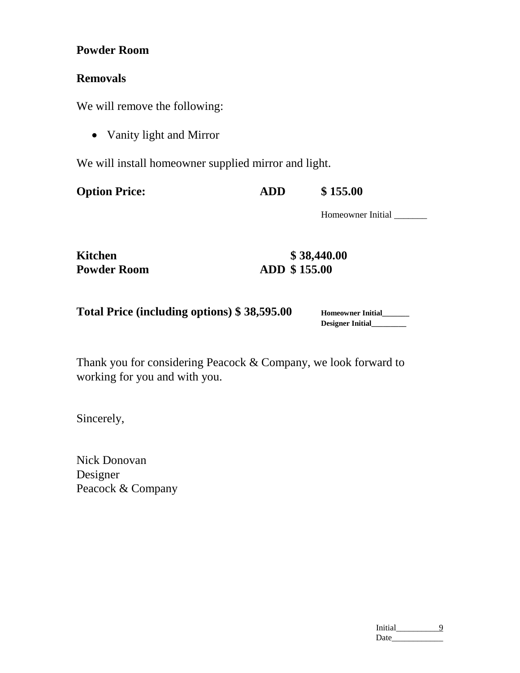### **Powder Room**

### **Removals**

We will remove the following:

• Vanity light and Mirror

We will install homeowner supplied mirror and light.

| <b>Option Price:</b> | <b>ADD</b> | \$155.00 |
|----------------------|------------|----------|
|                      |            |          |

Homeowner Initial \_\_\_\_\_\_\_

| <b>Kitchen</b>     |  |
|--------------------|--|
| <b>Powder Room</b> |  |

**Kitchen \$ 38,440.00 Powder Room ADD \$ 155.00**

**Homeowner Initial\_\_\_\_\_\_\_ Designer Initial\_\_\_\_\_\_\_\_\_**

Thank you for considering Peacock & Company, we look forward to working for you and with you.

Sincerely,

Nick Donovan Designer Peacock & Company

| Initial |  |
|---------|--|
| Date    |  |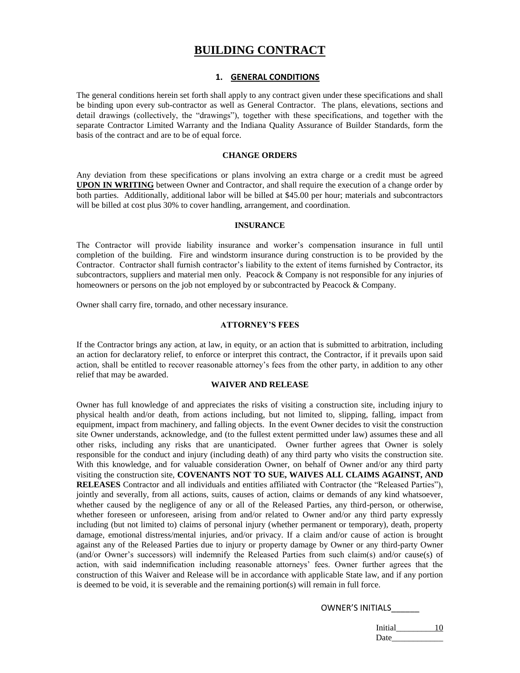#### **BUILDING CONTRACT**

#### **1. GENERAL CONDITIONS**

The general conditions herein set forth shall apply to any contract given under these specifications and shall be binding upon every sub-contractor as well as General Contractor. The plans, elevations, sections and detail drawings (collectively, the "drawings"), together with these specifications, and together with the separate Contractor Limited Warranty and the Indiana Quality Assurance of Builder Standards, form the basis of the contract and are to be of equal force.

#### **CHANGE ORDERS**

Any deviation from these specifications or plans involving an extra charge or a credit must be agreed **UPON IN WRITING** between Owner and Contractor, and shall require the execution of a change order by both parties. Additionally, additional labor will be billed at \$45.00 per hour; materials and subcontractors will be billed at cost plus 30% to cover handling, arrangement, and coordination.

#### **INSURANCE**

The Contractor will provide liability insurance and worker's compensation insurance in full until completion of the building. Fire and windstorm insurance during construction is to be provided by the Contractor. Contractor shall furnish contractor's liability to the extent of items furnished by Contractor, its subcontractors, suppliers and material men only. Peacock & Company is not responsible for any injuries of homeowners or persons on the job not employed by or subcontracted by Peacock & Company.

Owner shall carry fire, tornado, and other necessary insurance.

#### **ATTORNEY'S FEES**

If the Contractor brings any action, at law, in equity, or an action that is submitted to arbitration, including an action for declaratory relief, to enforce or interpret this contract, the Contractor, if it prevails upon said action, shall be entitled to recover reasonable attorney's fees from the other party, in addition to any other relief that may be awarded.

#### **WAIVER AND RELEASE**

Owner has full knowledge of and appreciates the risks of visiting a construction site, including injury to physical health and/or death, from actions including, but not limited to, slipping, falling, impact from equipment, impact from machinery, and falling objects. In the event Owner decides to visit the construction site Owner understands, acknowledge, and (to the fullest extent permitted under law) assumes these and all other risks, including any risks that are unanticipated. Owner further agrees that Owner is solely responsible for the conduct and injury (including death) of any third party who visits the construction site. With this knowledge, and for valuable consideration Owner, on behalf of Owner and/or any third party visiting the construction site, **COVENANTS NOT TO SUE, WAIVES ALL CLAIMS AGAINST, AND RELEASES** Contractor and all individuals and entities affiliated with Contractor (the "Released Parties"), jointly and severally, from all actions, suits, causes of action, claims or demands of any kind whatsoever, whether caused by the negligence of any or all of the Released Parties, any third-person, or otherwise, whether foreseen or unforeseen, arising from and/or related to Owner and/or any third party expressly including (but not limited to) claims of personal injury (whether permanent or temporary), death, property damage, emotional distress/mental injuries, and/or privacy. If a claim and/or cause of action is brought against any of the Released Parties due to injury or property damage by Owner or any third-party Owner (and/or Owner's successors) will indemnify the Released Parties from such claim(s) and/or cause(s) of action, with said indemnification including reasonable attorneys' fees. Owner further agrees that the construction of this Waiver and Release will be in accordance with applicable State law, and if any portion is deemed to be void, it is severable and the remaining portion(s) will remain in full force.

#### OWNER'S INITIALS\_\_\_\_\_\_

Initial\_\_\_\_\_\_\_\_\_\_\_ 10 Date\_\_\_\_\_\_\_\_\_\_\_\_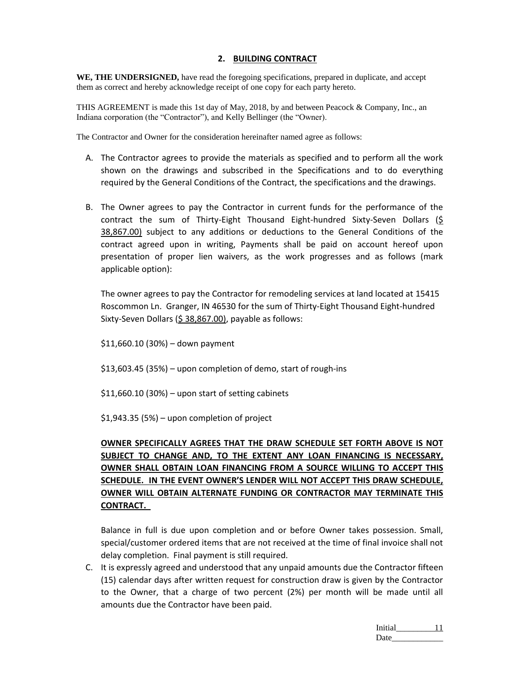#### **2. BUILDING CONTRACT**

WE, THE UNDERSIGNED, have read the foregoing specifications, prepared in duplicate, and accept them as correct and hereby acknowledge receipt of one copy for each party hereto.

THIS AGREEMENT is made this 1st day of May, 2018, by and between Peacock & Company, Inc., an Indiana corporation (the "Contractor"), and Kelly Bellinger (the "Owner).

The Contractor and Owner for the consideration hereinafter named agree as follows:

- A. The Contractor agrees to provide the materials as specified and to perform all the work shown on the drawings and subscribed in the Specifications and to do everything required by the General Conditions of the Contract, the specifications and the drawings.
- B. The Owner agrees to pay the Contractor in current funds for the performance of the contract the sum of Thirty-Eight Thousand Eight-hundred Sixty-Seven Dollars ( $\frac{S}{2}$ 38,867.00) subject to any additions or deductions to the General Conditions of the contract agreed upon in writing, Payments shall be paid on account hereof upon presentation of proper lien waivers, as the work progresses and as follows (mark applicable option):

The owner agrees to pay the Contractor for remodeling services at land located at 15415 Roscommon Ln. Granger, IN 46530 for the sum of Thirty-Eight Thousand Eight-hundred Sixty-Seven Dollars (\$ 38,867.00), payable as follows:

\$11,660.10 (30%) – down payment

\$13,603.45 (35%) – upon completion of demo, start of rough-ins

\$11,660.10 (30%) – upon start of setting cabinets

\$1,943.35 (5%) – upon completion of project

#### **OWNER SPECIFICALLY AGREES THAT THE DRAW SCHEDULE SET FORTH ABOVE IS NOT SUBJECT TO CHANGE AND, TO THE EXTENT ANY LOAN FINANCING IS NECESSARY, OWNER SHALL OBTAIN LOAN FINANCING FROM A SOURCE WILLING TO ACCEPT THIS SCHEDULE. IN THE EVENT OWNER'S LENDER WILL NOT ACCEPT THIS DRAW SCHEDULE, OWNER WILL OBTAIN ALTERNATE FUNDING OR CONTRACTOR MAY TERMINATE THIS CONTRACT.**

Balance in full is due upon completion and or before Owner takes possession. Small, special/customer ordered items that are not received at the time of final invoice shall not delay completion. Final payment is still required.

C. It is expressly agreed and understood that any unpaid amounts due the Contractor fifteen (15) calendar days after written request for construction draw is given by the Contractor to the Owner, that a charge of two percent (2%) per month will be made until all amounts due the Contractor have been paid.

> Initial\_\_\_\_\_\_\_\_\_\_\_ 11 Date\_\_\_\_\_\_\_\_\_\_\_\_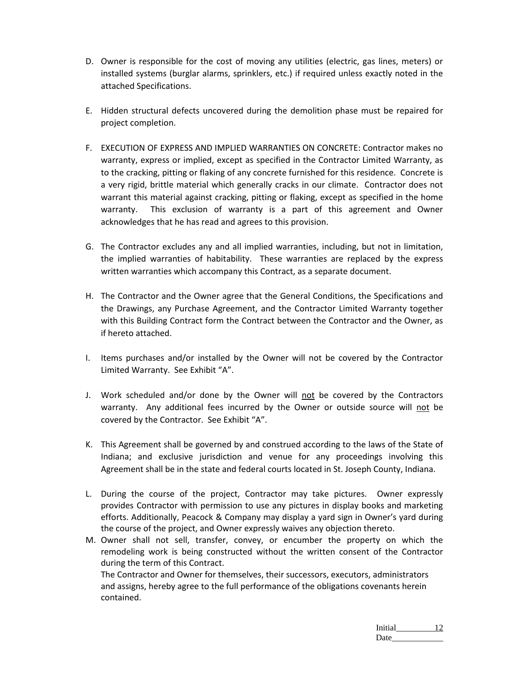- D. Owner is responsible for the cost of moving any utilities (electric, gas lines, meters) or installed systems (burglar alarms, sprinklers, etc.) if required unless exactly noted in the attached Specifications.
- E. Hidden structural defects uncovered during the demolition phase must be repaired for project completion.
- F. EXECUTION OF EXPRESS AND IMPLIED WARRANTIES ON CONCRETE: Contractor makes no warranty, express or implied, except as specified in the Contractor Limited Warranty, as to the cracking, pitting or flaking of any concrete furnished for this residence. Concrete is a very rigid, brittle material which generally cracks in our climate. Contractor does not warrant this material against cracking, pitting or flaking, except as specified in the home warranty. This exclusion of warranty is a part of this agreement and Owner acknowledges that he has read and agrees to this provision.
- G. The Contractor excludes any and all implied warranties, including, but not in limitation, the implied warranties of habitability. These warranties are replaced by the express written warranties which accompany this Contract, as a separate document.
- H. The Contractor and the Owner agree that the General Conditions, the Specifications and the Drawings, any Purchase Agreement, and the Contractor Limited Warranty together with this Building Contract form the Contract between the Contractor and the Owner, as if hereto attached.
- I. Items purchases and/or installed by the Owner will not be covered by the Contractor Limited Warranty. See Exhibit "A".
- J. Work scheduled and/or done by the Owner will not be covered by the Contractors warranty. Any additional fees incurred by the Owner or outside source will not be covered by the Contractor. See Exhibit "A".
- K. This Agreement shall be governed by and construed according to the laws of the State of Indiana; and exclusive jurisdiction and venue for any proceedings involving this Agreement shall be in the state and federal courts located in St. Joseph County, Indiana.
- L. During the course of the project, Contractor may take pictures. Owner expressly provides Contractor with permission to use any pictures in display books and marketing efforts. Additionally, Peacock & Company may display a yard sign in Owner's yard during the course of the project, and Owner expressly waives any objection thereto.
- M. Owner shall not sell, transfer, convey, or encumber the property on which the remodeling work is being constructed without the written consent of the Contractor during the term of this Contract.

The Contractor and Owner for themselves, their successors, executors, administrators and assigns, hereby agree to the full performance of the obligations covenants herein contained.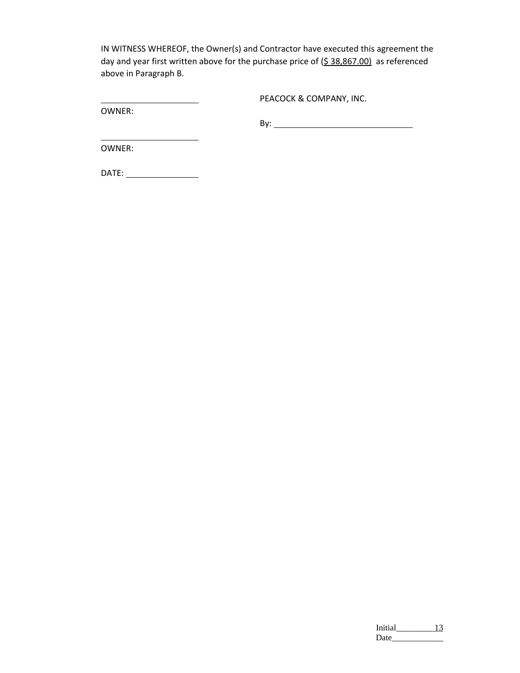IN WITNESS WHEREOF, the Owner(s) and Contractor have executed this agreement the day and year first written above for the purchase price of  $(5.38,867.00)$  as referenced above in Paragraph B.

OWNER:

PEACOCK & COMPANY, INC.

By:

OWNER:

DATE:

| Initial |  |
|---------|--|
| Date    |  |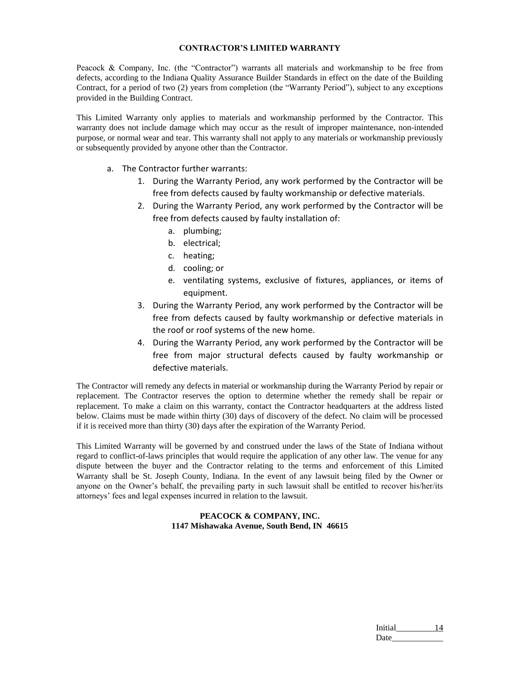#### **CONTRACTOR'S LIMITED WARRANTY**

Peacock & Company, Inc. (the "Contractor") warrants all materials and workmanship to be free from defects, according to the Indiana Quality Assurance Builder Standards in effect on the date of the Building Contract, for a period of two (2) years from completion (the "Warranty Period"), subject to any exceptions provided in the Building Contract.

This Limited Warranty only applies to materials and workmanship performed by the Contractor. This warranty does not include damage which may occur as the result of improper maintenance, non-intended purpose, or normal wear and tear. This warranty shall not apply to any materials or workmanship previously or subsequently provided by anyone other than the Contractor.

- a. The Contractor further warrants:
	- 1. During the Warranty Period, any work performed by the Contractor will be free from defects caused by faulty workmanship or defective materials.
	- 2. During the Warranty Period, any work performed by the Contractor will be free from defects caused by faulty installation of:
		- a. plumbing;
		- b. electrical;
		- c. heating;
		- d. cooling; or
		- e. ventilating systems, exclusive of fixtures, appliances, or items of equipment.
	- 3. During the Warranty Period, any work performed by the Contractor will be free from defects caused by faulty workmanship or defective materials in the roof or roof systems of the new home.
	- 4. During the Warranty Period, any work performed by the Contractor will be free from major structural defects caused by faulty workmanship or defective materials.

The Contractor will remedy any defects in material or workmanship during the Warranty Period by repair or replacement. The Contractor reserves the option to determine whether the remedy shall be repair or replacement. To make a claim on this warranty, contact the Contractor headquarters at the address listed below. Claims must be made within thirty (30) days of discovery of the defect. No claim will be processed if it is received more than thirty (30) days after the expiration of the Warranty Period.

This Limited Warranty will be governed by and construed under the laws of the State of Indiana without regard to conflict-of-laws principles that would require the application of any other law. The venue for any dispute between the buyer and the Contractor relating to the terms and enforcement of this Limited Warranty shall be St. Joseph County, Indiana. In the event of any lawsuit being filed by the Owner or anyone on the Owner's behalf, the prevailing party in such lawsuit shall be entitled to recover his/her/its attorneys' fees and legal expenses incurred in relation to the lawsuit.

#### **PEACOCK & COMPANY, INC. 1147 Mishawaka Avenue, South Bend, IN 46615**